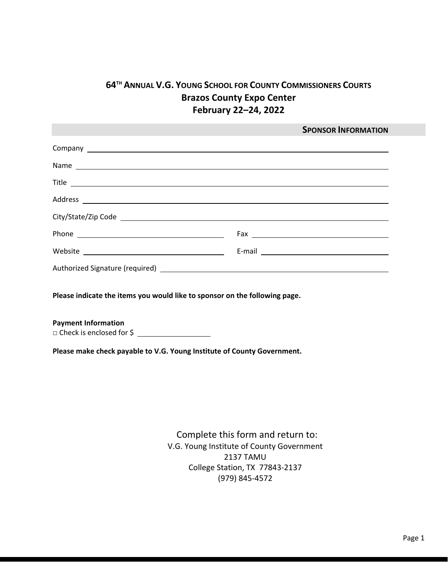# **64TH ANNUAL V.G. YOUNG SCHOOL FOR COUNTY COMMISSIONERS COURTS Brazos County Expo Center February 22–24, 2022**

|       | <b>SPONSOR INFORMATION</b> |
|-------|----------------------------|
|       |                            |
|       |                            |
| Title |                            |
|       |                            |
|       |                            |
|       |                            |
|       |                            |
|       |                            |

**Please indicate the items you would like to sponsor on the following page.**

**Payment Information □** Check is enclosed for \$

**Please make check payable to V.G. Young Institute of County Government.**

Complete this form and return to: V.G. Young Institute of County Government 2137 TAMU College Station, TX 77843-2137 (979) 845-4572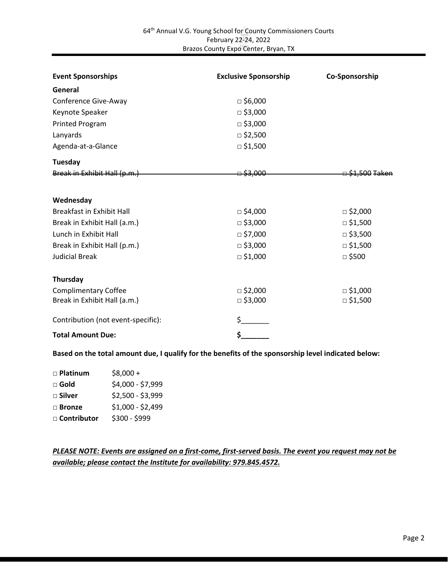| <b>Event Sponsorships</b>          | <b>Exclusive Sponsorship</b> | Co-Sponsorship             |
|------------------------------------|------------------------------|----------------------------|
| General                            |                              |                            |
| Conference Give-Away               | $\Box$ \$6,000               |                            |
| Keynote Speaker                    | $\Box$ \$3,000               |                            |
| <b>Printed Program</b>             | $\Box$ \$3,000               |                            |
| Lanyards                           | $\Box$ \$2,500               |                            |
| Agenda-at-a-Glance                 | $\Box$ \$1,500               |                            |
| Tuesday                            |                              |                            |
| Break in Exhibit Hall (p.m.)       | 000.3≩ ⊟                     | <del>⊟ \$1,500 Taken</del> |
| Wednesday                          |                              |                            |
| <b>Breakfast in Exhibit Hall</b>   | □ \$4,000                    | □ \$2,000                  |
| Break in Exhibit Hall (a.m.)       | $\Box$ \$3,000               | $\Box$ \$1,500             |
| Lunch in Exhibit Hall              | $\Box$ \$7,000               | $\Box$ \$3,500             |
| Break in Exhibit Hall (p.m.)       | $\Box$ \$3,000               | $\Box$ \$1,500             |
| <b>Judicial Break</b>              | $\Box$ \$1,000               | $\Box$ \$500               |
| Thursday                           |                              |                            |
| <b>Complimentary Coffee</b>        | $\Box$ \$2,000               | $\Box$ \$1,000             |
| Break in Exhibit Hall (a.m.)       | $\Box$ \$3,000               | $\Box$ \$1,500             |
| Contribution (not event-specific): | \$_                          |                            |
| <b>Total Amount Due:</b>           | \$_                          |                            |

**Based on the total amount due, I qualify for the benefits of the sponsorship level indicated below:**

| □ Platinum     | $$8,000 +$        |
|----------------|-------------------|
| $\square$ Gold | \$4,000 - \$7,999 |
| □ Silver       | \$2,500 - \$3,999 |
| $\Box$ Bronze  | $$1,000 - $2,499$ |
| □ Contributor  | \$300 - \$999     |
|                |                   |

### *PLEASE NOTE: Events are assigned on a first-come, first-served basis. The event you request may not be available; please contact the Institute for availability: 979.845.4572.*